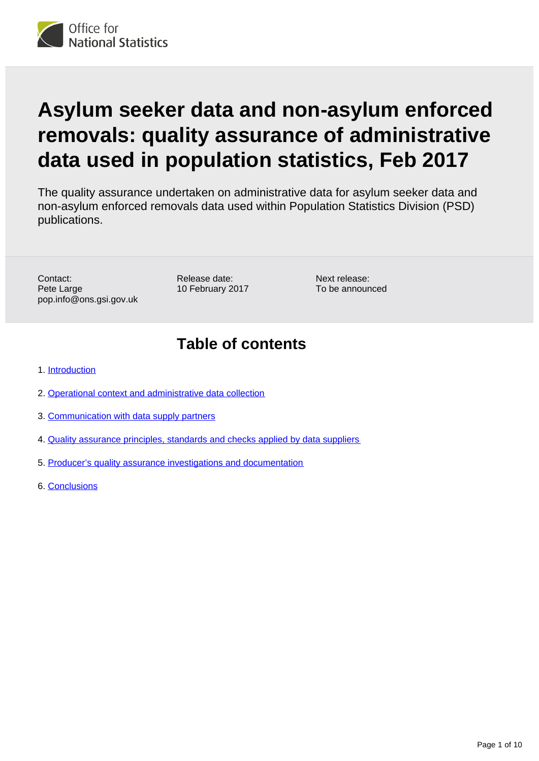

# **Asylum seeker data and non-asylum enforced removals: quality assurance of administrative data used in population statistics, Feb 2017**

The quality assurance undertaken on administrative data for asylum seeker data and non-asylum enforced removals data used within Population Statistics Division (PSD) publications.

Contact: Pete Large pop.info@ons.gsi.gov.uk Release date: 10 February 2017

Next release: To be announced

### **Table of contents**

- 1. [Introduction](#page-1-0)
- 2. [Operational context and administrative data collection](#page-3-0)
- 3. [Communication with data supply partners](#page-4-0)
- 4. [Quality assurance principles, standards and checks applied by data suppliers](#page-6-0)
- 5. [Producer's quality assurance investigations and documentation](#page-8-0)
- 6. [Conclusions](#page-9-0)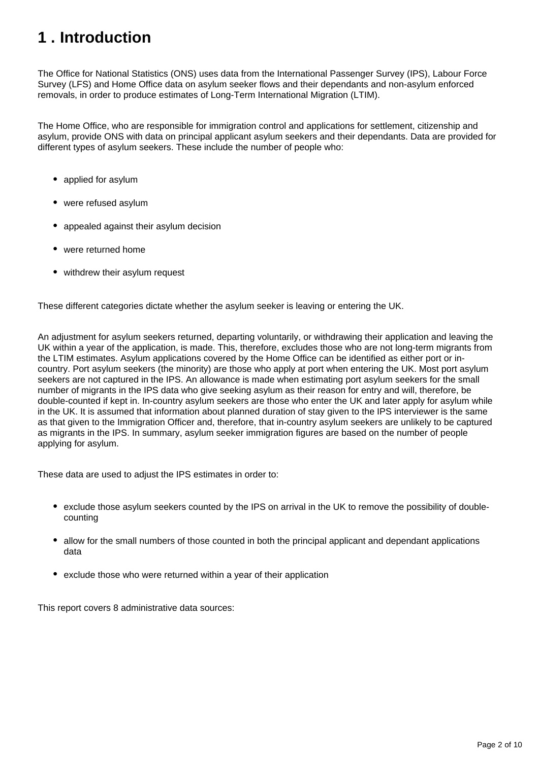## <span id="page-1-0"></span>**1 . Introduction**

The Office for National Statistics (ONS) uses data from the International Passenger Survey (IPS), Labour Force Survey (LFS) and Home Office data on asylum seeker flows and their dependants and non-asylum enforced removals, in order to produce estimates of Long-Term International Migration (LTIM).

The Home Office, who are responsible for immigration control and applications for settlement, citizenship and asylum, provide ONS with data on principal applicant asylum seekers and their dependants. Data are provided for different types of asylum seekers. These include the number of people who:

- applied for asylum
- were refused asylum
- appealed against their asylum decision
- were returned home
- withdrew their asylum request

These different categories dictate whether the asylum seeker is leaving or entering the UK.

An adjustment for asylum seekers returned, departing voluntarily, or withdrawing their application and leaving the UK within a year of the application, is made. This, therefore, excludes those who are not long-term migrants from the LTIM estimates. Asylum applications covered by the Home Office can be identified as either port or incountry. Port asylum seekers (the minority) are those who apply at port when entering the UK. Most port asylum seekers are not captured in the IPS. An allowance is made when estimating port asylum seekers for the small number of migrants in the IPS data who give seeking asylum as their reason for entry and will, therefore, be double-counted if kept in. In-country asylum seekers are those who enter the UK and later apply for asylum while in the UK. It is assumed that information about planned duration of stay given to the IPS interviewer is the same as that given to the Immigration Officer and, therefore, that in-country asylum seekers are unlikely to be captured as migrants in the IPS. In summary, asylum seeker immigration figures are based on the number of people applying for asylum.

These data are used to adjust the IPS estimates in order to:

- exclude those asylum seekers counted by the IPS on arrival in the UK to remove the possibility of doublecounting
- allow for the small numbers of those counted in both the principal applicant and dependant applications data
- exclude those who were returned within a year of their application

This report covers 8 administrative data sources: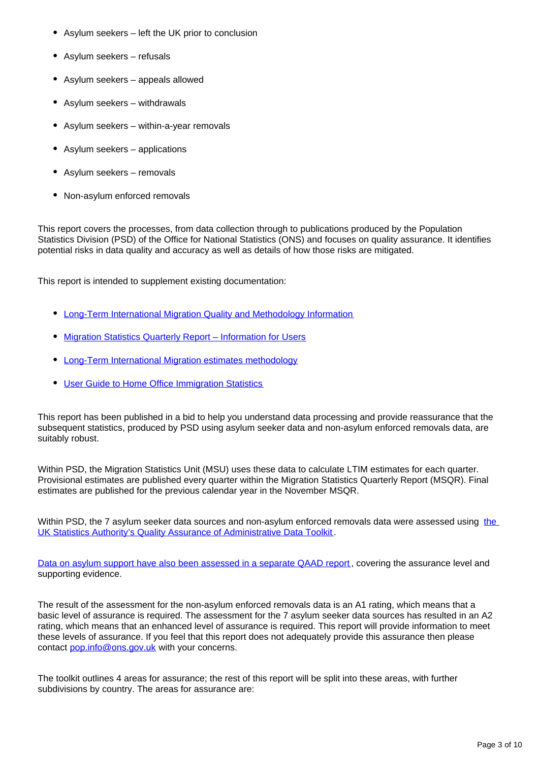- Asylum seekers left the UK prior to conclusion
- Asylum seekers refusals
- Asylum seekers appeals allowed
- Asylum seekers withdrawals
- Asylum seekers within-a-year removals
- Asylum seekers applications
- Asylum seekers removals
- Non-asylum enforced removals

This report covers the processes, from data collection through to publications produced by the Population Statistics Division (PSD) of the Office for National Statistics (ONS) and focuses on quality assurance. It identifies potential risks in data quality and accuracy as well as details of how those risks are mitigated.

This report is intended to supplement existing documentation:

- [Long-Term International Migration Quality and Methodology Information](https://www.ons.gov.uk/peoplepopulationandcommunity/populationandmigration/populationestimates/qmis/longtermmigrationindicatorssuiteqmi)
- [Migration Statistics Quarterly Report Information for Users](https://www.ons.gov.uk/file?uri=/peoplepopulationandcommunity/populationandmigration/internationalmigration/methodologies/internationalmigrationmethodology/msqrinformationforusersnov2015v10tcm77312013.pdf)
- [Long-Term International Migration estimates methodology](https://www.ons.gov.uk/peoplepopulationandcommunity/populationandmigration/internationalmigration/methodologies/internationalmigrationmethodology)
- [User Guide to Home Office Immigration Statistics](https://www.gov.uk/government/uploads/system/uploads/attachment_data/file/547190/user-guide-immigration-statistics.pdf)

This report has been published in a bid to help you understand data processing and provide reassurance that the subsequent statistics, produced by PSD using asylum seeker data and non-asylum enforced removals data, are suitably robust.

Within PSD, the Migration Statistics Unit (MSU) uses these data to calculate LTIM estimates for each quarter. Provisional estimates are published every quarter within the Migration Statistics Quarterly Report (MSQR). Final estimates are published for the previous calendar year in the November MSQR.

Within PSD, [the](https://www.statisticsauthority.gov.uk/publication/administrative-data-quality-assurance-toolkit/) 7 asylum seeker data sources and non-asylum enforced removals data were assessed using the [UK Statistics Authority's Quality Assurance of Administrative Data Toolkit](https://www.statisticsauthority.gov.uk/publication/administrative-data-quality-assurance-toolkit/) .

[Data on asylum support have also been assessed in a separate QAAD report](https://www.ons.gov.uk/peoplepopulationandcommunity/populationandmigration/populationestimates/methodologies/asylumsupportdataqualityassuranceofadministrativedatausedinpopulationstatisticsfeb2017), covering the assurance level and supporting evidence.

The result of the assessment for the non-asylum enforced removals data is an A1 rating, which means that a basic level of assurance is required. The assessment for the 7 asylum seeker data sources has resulted in an A2 rating, which means that an enhanced level of assurance is required. This report will provide information to meet these levels of assurance. If you feel that this report does not adequately provide this assurance then please contact pop.info@ons.gov.uk with your concerns.

The toolkit outlines 4 areas for assurance; the rest of this report will be split into these areas, with further subdivisions by country. The areas for assurance are: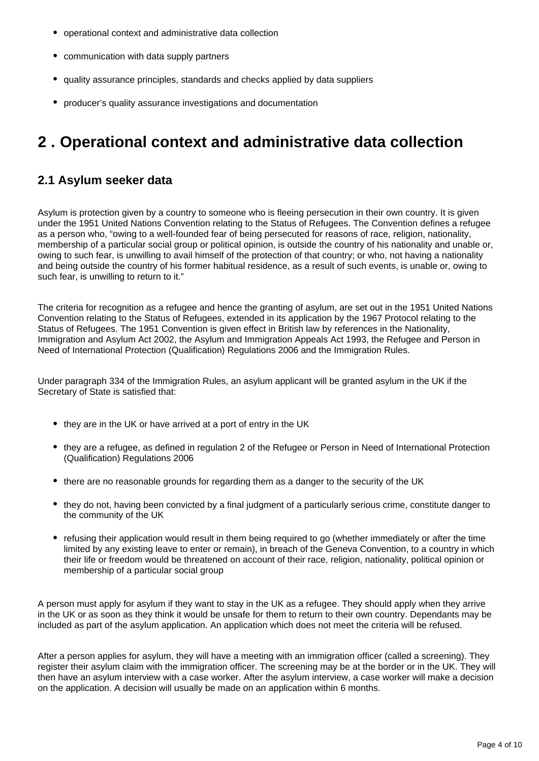- operational context and administrative data collection
- communication with data supply partners
- quality assurance principles, standards and checks applied by data suppliers
- producer's quality assurance investigations and documentation

### <span id="page-3-0"></span>**2 . Operational context and administrative data collection**

#### **2.1 Asylum seeker data**

Asylum is protection given by a country to someone who is fleeing persecution in their own country. It is given under the 1951 United Nations Convention relating to the Status of Refugees. The Convention defines a refugee as a person who, "owing to a well-founded fear of being persecuted for reasons of race, religion, nationality, membership of a particular social group or political opinion, is outside the country of his nationality and unable or, owing to such fear, is unwilling to avail himself of the protection of that country; or who, not having a nationality and being outside the country of his former habitual residence, as a result of such events, is unable or, owing to such fear, is unwilling to return to it."

The criteria for recognition as a refugee and hence the granting of asylum, are set out in the 1951 United Nations Convention relating to the Status of Refugees, extended in its application by the 1967 Protocol relating to the Status of Refugees. The 1951 Convention is given effect in British law by references in the Nationality, Immigration and Asylum Act 2002, the Asylum and Immigration Appeals Act 1993, the Refugee and Person in Need of International Protection (Qualification) Regulations 2006 and the Immigration Rules.

Under paragraph 334 of the Immigration Rules, an asylum applicant will be granted asylum in the UK if the Secretary of State is satisfied that:

- they are in the UK or have arrived at a port of entry in the UK
- they are a refugee, as defined in regulation 2 of the Refugee or Person in Need of International Protection (Qualification) Regulations 2006
- there are no reasonable grounds for regarding them as a danger to the security of the UK
- they do not, having been convicted by a final judgment of a particularly serious crime, constitute danger to the community of the UK
- refusing their application would result in them being required to go (whether immediately or after the time limited by any existing leave to enter or remain), in breach of the Geneva Convention, to a country in which their life or freedom would be threatened on account of their race, religion, nationality, political opinion or membership of a particular social group

A person must apply for asylum if they want to stay in the UK as a refugee. They should apply when they arrive in the UK or as soon as they think it would be unsafe for them to return to their own country. Dependants may be included as part of the asylum application. An application which does not meet the criteria will be refused.

After a person applies for asylum, they will have a meeting with an immigration officer (called a screening). They register their asylum claim with the immigration officer. The screening may be at the border or in the UK. They will then have an asylum interview with a case worker. After the asylum interview, a case worker will make a decision on the application. A decision will usually be made on an application within 6 months.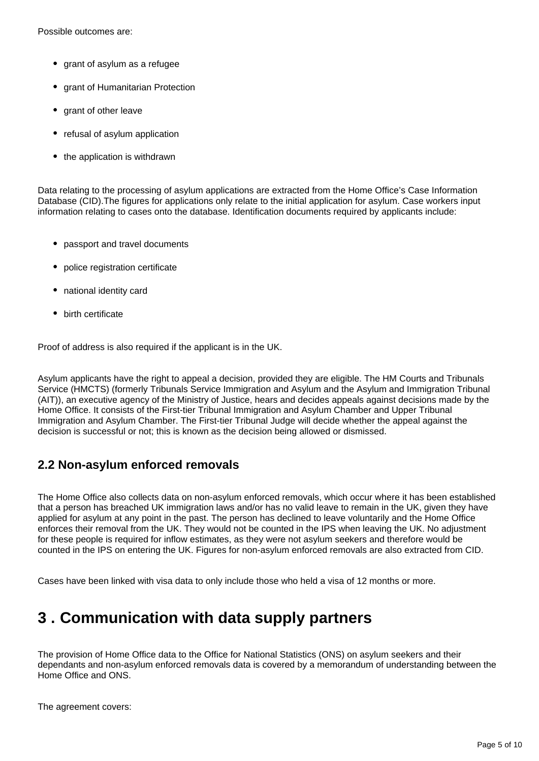Possible outcomes are:

- grant of asylum as a refugee
- grant of Humanitarian Protection
- grant of other leave
- refusal of asylum application
- the application is withdrawn

Data relating to the processing of asylum applications are extracted from the Home Office's Case Information Database (CID).The figures for applications only relate to the initial application for asylum. Case workers input information relating to cases onto the database. Identification documents required by applicants include:

- passport and travel documents
- police registration certificate
- national identity card
- birth certificate

Proof of address is also required if the applicant is in the UK.

Asylum applicants have the right to appeal a decision, provided they are eligible. The HM Courts and Tribunals Service (HMCTS) (formerly Tribunals Service Immigration and Asylum and the Asylum and Immigration Tribunal (AIT)), an executive agency of the Ministry of Justice, hears and decides appeals against decisions made by the Home Office. It consists of the First-tier Tribunal Immigration and Asylum Chamber and Upper Tribunal Immigration and Asylum Chamber. The First-tier Tribunal Judge will decide whether the appeal against the decision is successful or not; this is known as the decision being allowed or dismissed.

#### **2.2 Non-asylum enforced removals**

The Home Office also collects data on non-asylum enforced removals, which occur where it has been established that a person has breached UK immigration laws and/or has no valid leave to remain in the UK, given they have applied for asylum at any point in the past. The person has declined to leave voluntarily and the Home Office enforces their removal from the UK. They would not be counted in the IPS when leaving the UK. No adjustment for these people is required for inflow estimates, as they were not asylum seekers and therefore would be counted in the IPS on entering the UK. Figures for non-asylum enforced removals are also extracted from CID.

Cases have been linked with visa data to only include those who held a visa of 12 months or more.

### <span id="page-4-0"></span>**3 . Communication with data supply partners**

The provision of Home Office data to the Office for National Statistics (ONS) on asylum seekers and their dependants and non-asylum enforced removals data is covered by a memorandum of understanding between the Home Office and ONS.

The agreement covers: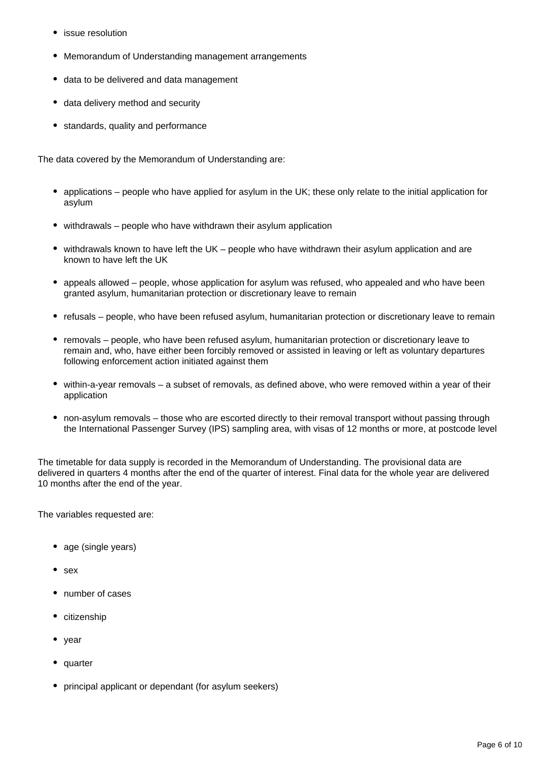- issue resolution
- Memorandum of Understanding management arrangements
- data to be delivered and data management
- data delivery method and security
- standards, quality and performance

The data covered by the Memorandum of Understanding are:

- applications people who have applied for asylum in the UK; these only relate to the initial application for asylum
- withdrawals people who have withdrawn their asylum application
- withdrawals known to have left the UK people who have withdrawn their asylum application and are known to have left the UK
- appeals allowed people, whose application for asylum was refused, who appealed and who have been granted asylum, humanitarian protection or discretionary leave to remain
- refusals people, who have been refused asylum, humanitarian protection or discretionary leave to remain
- removals people, who have been refused asylum, humanitarian protection or discretionary leave to remain and, who, have either been forcibly removed or assisted in leaving or left as voluntary departures following enforcement action initiated against them
- within-a-year removals a subset of removals, as defined above, who were removed within a year of their application
- non-asylum removals those who are escorted directly to their removal transport without passing through the International Passenger Survey (IPS) sampling area, with visas of 12 months or more, at postcode level

The timetable for data supply is recorded in the Memorandum of Understanding. The provisional data are delivered in quarters 4 months after the end of the quarter of interest. Final data for the whole year are delivered 10 months after the end of the year.

The variables requested are:

- age (single years)
- $\bullet$  sex
- number of cases
- citizenship
- year
- quarter
- principal applicant or dependant (for asylum seekers)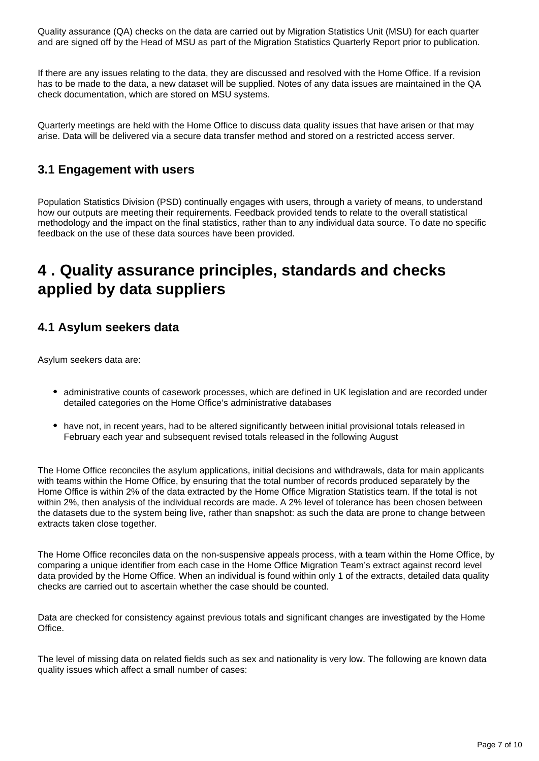Quality assurance (QA) checks on the data are carried out by Migration Statistics Unit (MSU) for each quarter and are signed off by the Head of MSU as part of the Migration Statistics Quarterly Report prior to publication.

If there are any issues relating to the data, they are discussed and resolved with the Home Office. If a revision has to be made to the data, a new dataset will be supplied. Notes of any data issues are maintained in the QA check documentation, which are stored on MSU systems.

Quarterly meetings are held with the Home Office to discuss data quality issues that have arisen or that may arise. Data will be delivered via a secure data transfer method and stored on a restricted access server.

#### **3.1 Engagement with users**

Population Statistics Division (PSD) continually engages with users, through a variety of means, to understand how our outputs are meeting their requirements. Feedback provided tends to relate to the overall statistical methodology and the impact on the final statistics, rather than to any individual data source. To date no specific feedback on the use of these data sources have been provided.

### <span id="page-6-0"></span>**4 . Quality assurance principles, standards and checks applied by data suppliers**

#### **4.1 Asylum seekers data**

Asylum seekers data are:

- administrative counts of casework processes, which are defined in UK legislation and are recorded under detailed categories on the Home Office's administrative databases
- have not, in recent years, had to be altered significantly between initial provisional totals released in February each year and subsequent revised totals released in the following August

The Home Office reconciles the asylum applications, initial decisions and withdrawals, data for main applicants with teams within the Home Office, by ensuring that the total number of records produced separately by the Home Office is within 2% of the data extracted by the Home Office Migration Statistics team. If the total is not within 2%, then analysis of the individual records are made. A 2% level of tolerance has been chosen between the datasets due to the system being live, rather than snapshot: as such the data are prone to change between extracts taken close together.

The Home Office reconciles data on the non-suspensive appeals process, with a team within the Home Office, by comparing a unique identifier from each case in the Home Office Migration Team's extract against record level data provided by the Home Office. When an individual is found within only 1 of the extracts, detailed data quality checks are carried out to ascertain whether the case should be counted.

Data are checked for consistency against previous totals and significant changes are investigated by the Home Office.

The level of missing data on related fields such as sex and nationality is very low. The following are known data quality issues which affect a small number of cases: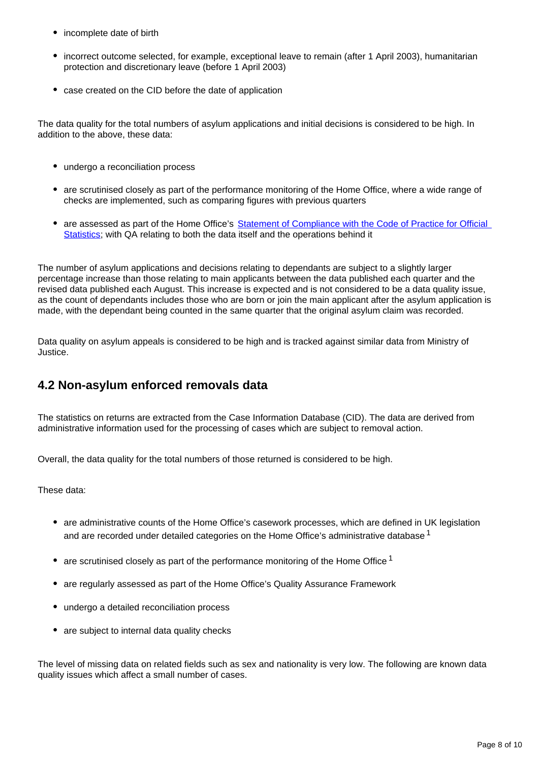- incomplete date of birth
- incorrect outcome selected, for example, exceptional leave to remain (after 1 April 2003), humanitarian protection and discretionary leave (before 1 April 2003)
- case created on the CID before the date of application

The data quality for the total numbers of asylum applications and initial decisions is considered to be high. In addition to the above, these data:

- undergo a reconciliation process
- are scrutinised closely as part of the performance monitoring of the Home Office, where a wide range of checks are implemented, such as comparing figures with previous quarters
- are assessed as part of the Home Office's Statement of Compliance with the Code of Practice for Official [Statistics](https://www.gov.uk/government/uploads/system/uploads/attachment_data/file/341674/ho-compliance-state-aug14.pdf); with QA relating to both the data itself and the operations behind it

The number of asylum applications and decisions relating to dependants are subject to a slightly larger percentage increase than those relating to main applicants between the data published each quarter and the revised data published each August. This increase is expected and is not considered to be a data quality issue, as the count of dependants includes those who are born or join the main applicant after the asylum application is made, with the dependant being counted in the same quarter that the original asylum claim was recorded.

Data quality on asylum appeals is considered to be high and is tracked against similar data from Ministry of Justice.

#### **4.2 Non-asylum enforced removals data**

The statistics on returns are extracted from the Case Information Database (CID). The data are derived from administrative information used for the processing of cases which are subject to removal action.

Overall, the data quality for the total numbers of those returned is considered to be high.

#### These data:

- are administrative counts of the Home Office's casework processes, which are defined in UK legislation and are recorded under detailed categories on the Home Office's administrative database<sup>1</sup>
- are scrutinised closely as part of the performance monitoring of the Home Office  $1$
- are regularly assessed as part of the Home Office's Quality Assurance Framework
- undergo a detailed reconciliation process
- are subject to internal data quality checks

The level of missing data on related fields such as sex and nationality is very low. The following are known data quality issues which affect a small number of cases.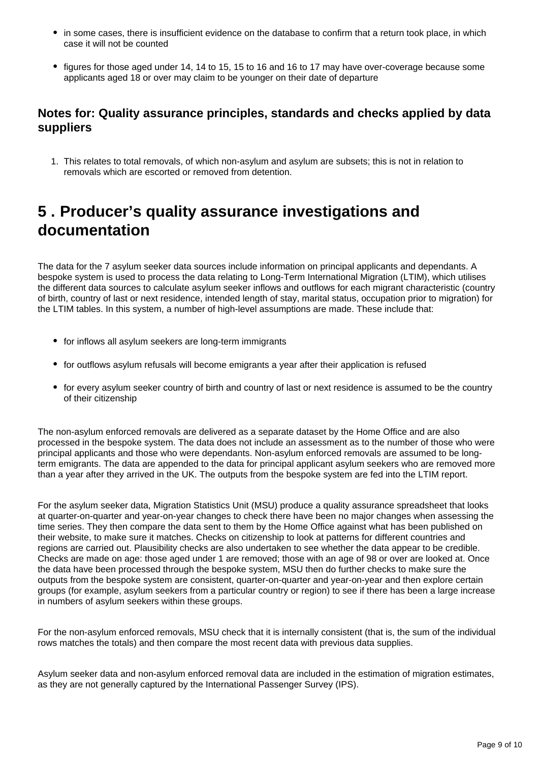- in some cases, there is insufficient evidence on the database to confirm that a return took place, in which case it will not be counted
- figures for those aged under 14, 14 to 15, 15 to 16 and 16 to 17 may have over-coverage because some applicants aged 18 or over may claim to be younger on their date of departure

#### **Notes for: Quality assurance principles, standards and checks applied by data suppliers**

1. This relates to total removals, of which non-asylum and asylum are subsets; this is not in relation to removals which are escorted or removed from detention.

### <span id="page-8-0"></span>**5 . Producer's quality assurance investigations and documentation**

The data for the 7 asylum seeker data sources include information on principal applicants and dependants. A bespoke system is used to process the data relating to Long-Term International Migration (LTIM), which utilises the different data sources to calculate asylum seeker inflows and outflows for each migrant characteristic (country of birth, country of last or next residence, intended length of stay, marital status, occupation prior to migration) for the LTIM tables. In this system, a number of high-level assumptions are made. These include that:

- for inflows all asylum seekers are long-term immigrants
- for outflows asylum refusals will become emigrants a year after their application is refused
- for every asylum seeker country of birth and country of last or next residence is assumed to be the country of their citizenship

The non-asylum enforced removals are delivered as a separate dataset by the Home Office and are also processed in the bespoke system. The data does not include an assessment as to the number of those who were principal applicants and those who were dependants. Non-asylum enforced removals are assumed to be longterm emigrants. The data are appended to the data for principal applicant asylum seekers who are removed more than a year after they arrived in the UK. The outputs from the bespoke system are fed into the LTIM report.

For the asylum seeker data, Migration Statistics Unit (MSU) produce a quality assurance spreadsheet that looks at quarter-on-quarter and year-on-year changes to check there have been no major changes when assessing the time series. They then compare the data sent to them by the Home Office against what has been published on their website, to make sure it matches. Checks on citizenship to look at patterns for different countries and regions are carried out. Plausibility checks are also undertaken to see whether the data appear to be credible. Checks are made on age: those aged under 1 are removed; those with an age of 98 or over are looked at. Once the data have been processed through the bespoke system, MSU then do further checks to make sure the outputs from the bespoke system are consistent, quarter-on-quarter and year-on-year and then explore certain groups (for example, asylum seekers from a particular country or region) to see if there has been a large increase in numbers of asylum seekers within these groups.

For the non-asylum enforced removals, MSU check that it is internally consistent (that is, the sum of the individual rows matches the totals) and then compare the most recent data with previous data supplies.

Asylum seeker data and non-asylum enforced removal data are included in the estimation of migration estimates, as they are not generally captured by the International Passenger Survey (IPS).